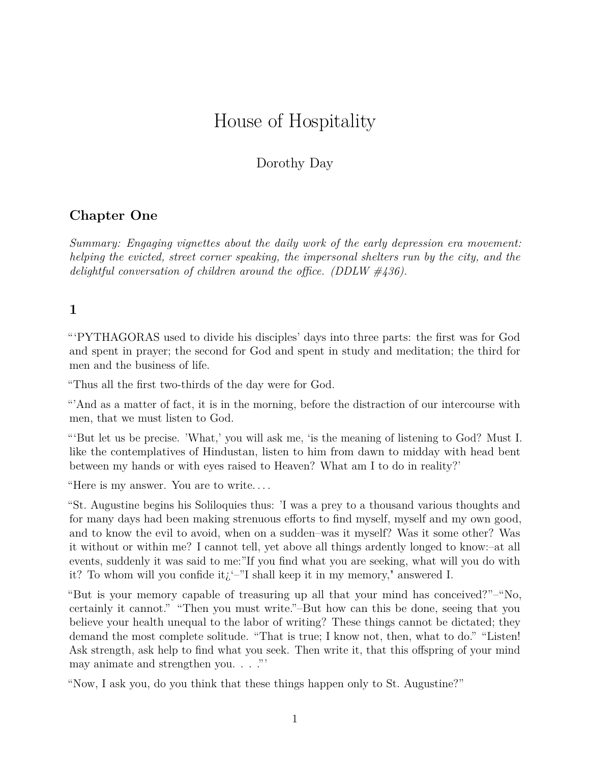# House of Hospitality

## Dorothy Day

## **Chapter One**

*Summary: Engaging vignettes about the daily work of the early depression era movement: helping the evicted, street corner speaking, the impersonal shelters run by the city, and the delightful conversation of children around the office. (DDLW #436).*

#### **1**

"'PYTHAGORAS used to divide his disciples' days into three parts: the first was for God and spent in prayer; the second for God and spent in study and meditation; the third for men and the business of life.

"Thus all the first two-thirds of the day were for God.

"'And as a matter of fact, it is in the morning, before the distraction of our intercourse with men, that we must listen to God.

"'But let us be precise. 'What,' you will ask me, 'is the meaning of listening to God? Must I. like the contemplatives of Hindustan, listen to him from dawn to midday with head bent between my hands or with eyes raised to Heaven? What am I to do in reality?'

"Here is my answer. You are to write. . . .

"St. Augustine begins his Soliloquies thus: 'I was a prey to a thousand various thoughts and for many days had been making strenuous efforts to find myself, myself and my own good, and to know the evil to avoid, when on a sudden–was it myself? Was it some other? Was it without or within me? I cannot tell, yet above all things ardently longed to know:–at all events, suddenly it was said to me:"If you find what you are seeking, what will you do with it? To whom will you confide it $\ddot{\iota}$ '–"I shall keep it in my memory," answered I.

"But is your memory capable of treasuring up all that your mind has conceived?"–"No, certainly it cannot." "Then you must write."–But how can this be done, seeing that you believe your health unequal to the labor of writing? These things cannot be dictated; they demand the most complete solitude. "That is true; I know not, then, what to do." "Listen! Ask strength, ask help to find what you seek. Then write it, that this offspring of your mind may animate and strengthen you. . . ."

"Now, I ask you, do you think that these things happen only to St. Augustine?"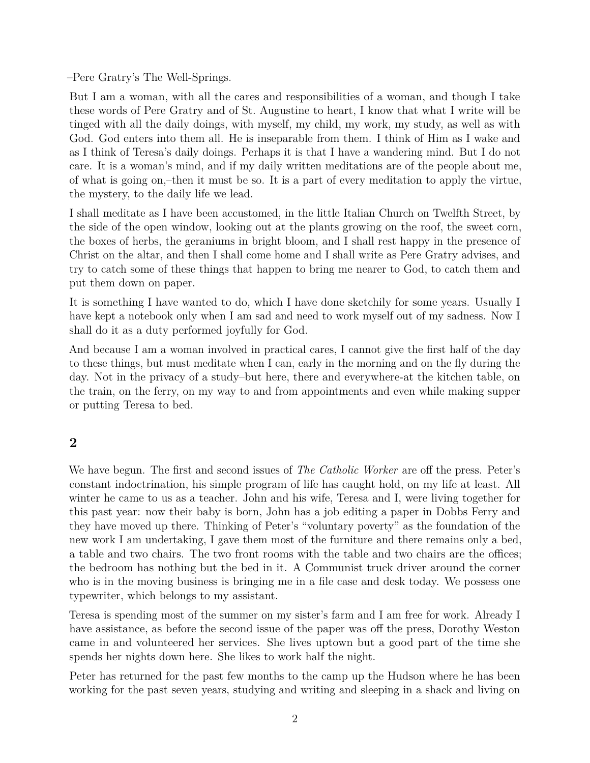–Pere Gratry's The Well-Springs.

But I am a woman, with all the cares and responsibilities of a woman, and though I take these words of Pere Gratry and of St. Augustine to heart, I know that what I write will be tinged with all the daily doings, with myself, my child, my work, my study, as well as with God. God enters into them all. He is inseparable from them. I think of Him as I wake and as I think of Teresa's daily doings. Perhaps it is that I have a wandering mind. But I do not care. It is a woman's mind, and if my daily written meditations are of the people about me, of what is going on,–then it must be so. It is a part of every meditation to apply the virtue, the mystery, to the daily life we lead.

I shall meditate as I have been accustomed, in the little Italian Church on Twelfth Street, by the side of the open window, looking out at the plants growing on the roof, the sweet corn, the boxes of herbs, the geraniums in bright bloom, and I shall rest happy in the presence of Christ on the altar, and then I shall come home and I shall write as Pere Gratry advises, and try to catch some of these things that happen to bring me nearer to God, to catch them and put them down on paper.

It is something I have wanted to do, which I have done sketchily for some years. Usually I have kept a notebook only when I am sad and need to work myself out of my sadness. Now I shall do it as a duty performed joyfully for God.

And because I am a woman involved in practical cares, I cannot give the first half of the day to these things, but must meditate when I can, early in the morning and on the fly during the day. Not in the privacy of a study–but here, there and everywhere-at the kitchen table, on the train, on the ferry, on my way to and from appointments and even while making supper or putting Teresa to bed.

## **2**

We have begun. The first and second issues of *The Catholic Worker* are off the press. Peter's constant indoctrination, his simple program of life has caught hold, on my life at least. All winter he came to us as a teacher. John and his wife, Teresa and I, were living together for this past year: now their baby is born, John has a job editing a paper in Dobbs Ferry and they have moved up there. Thinking of Peter's "voluntary poverty" as the foundation of the new work I am undertaking, I gave them most of the furniture and there remains only a bed, a table and two chairs. The two front rooms with the table and two chairs are the offices; the bedroom has nothing but the bed in it. A Communist truck driver around the corner who is in the moving business is bringing me in a file case and desk today. We possess one typewriter, which belongs to my assistant.

Teresa is spending most of the summer on my sister's farm and I am free for work. Already I have assistance, as before the second issue of the paper was off the press, Dorothy Weston came in and volunteered her services. She lives uptown but a good part of the time she spends her nights down here. She likes to work half the night.

Peter has returned for the past few months to the camp up the Hudson where he has been working for the past seven years, studying and writing and sleeping in a shack and living on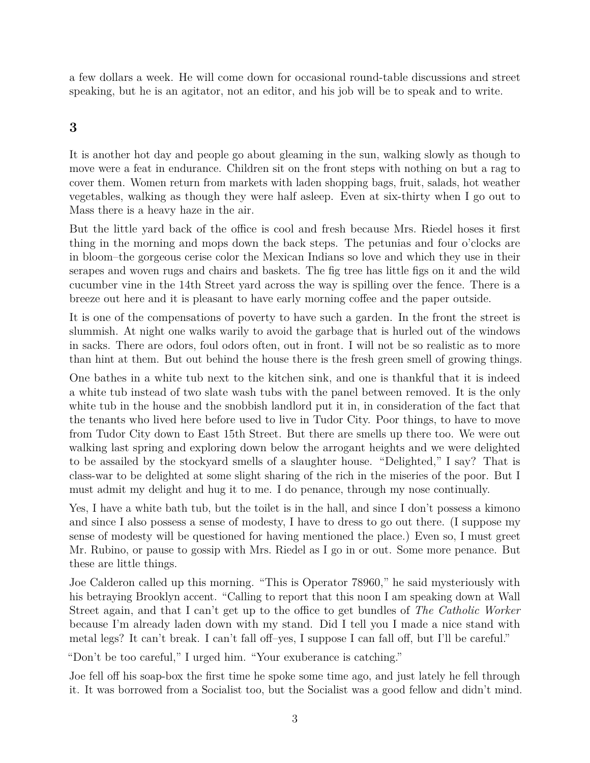a few dollars a week. He will come down for occasional round-table discussions and street speaking, but he is an agitator, not an editor, and his job will be to speak and to write.

## **3**

It is another hot day and people go about gleaming in the sun, walking slowly as though to move were a feat in endurance. Children sit on the front steps with nothing on but a rag to cover them. Women return from markets with laden shopping bags, fruit, salads, hot weather vegetables, walking as though they were half asleep. Even at six-thirty when I go out to Mass there is a heavy haze in the air.

But the little yard back of the office is cool and fresh because Mrs. Riedel hoses it first thing in the morning and mops down the back steps. The petunias and four o'clocks are in bloom–the gorgeous cerise color the Mexican Indians so love and which they use in their serapes and woven rugs and chairs and baskets. The fig tree has little figs on it and the wild cucumber vine in the 14th Street yard across the way is spilling over the fence. There is a breeze out here and it is pleasant to have early morning coffee and the paper outside.

It is one of the compensations of poverty to have such a garden. In the front the street is slummish. At night one walks warily to avoid the garbage that is hurled out of the windows in sacks. There are odors, foul odors often, out in front. I will not be so realistic as to more than hint at them. But out behind the house there is the fresh green smell of growing things.

One bathes in a white tub next to the kitchen sink, and one is thankful that it is indeed a white tub instead of two slate wash tubs with the panel between removed. It is the only white tub in the house and the snobbish landlord put it in, in consideration of the fact that the tenants who lived here before used to live in Tudor City. Poor things, to have to move from Tudor City down to East 15th Street. But there are smells up there too. We were out walking last spring and exploring down below the arrogant heights and we were delighted to be assailed by the stockyard smells of a slaughter house. "Delighted," I say? That is class-war to be delighted at some slight sharing of the rich in the miseries of the poor. But I must admit my delight and hug it to me. I do penance, through my nose continually.

Yes, I have a white bath tub, but the toilet is in the hall, and since I don't possess a kimono and since I also possess a sense of modesty, I have to dress to go out there. (I suppose my sense of modesty will be questioned for having mentioned the place.) Even so, I must greet Mr. Rubino, or pause to gossip with Mrs. Riedel as I go in or out. Some more penance. But these are little things.

Joe Calderon called up this morning. "This is Operator 78960," he said mysteriously with his betraying Brooklyn accent. "Calling to report that this noon I am speaking down at Wall Street again, and that I can't get up to the office to get bundles of *The Catholic Worker* because I'm already laden down with my stand. Did I tell you I made a nice stand with metal legs? It can't break. I can't fall off–yes, I suppose I can fall off, but I'll be careful."

"Don't be too careful," I urged him. "Your exuberance is catching."

Joe fell off his soap-box the first time he spoke some time ago, and just lately he fell through it. It was borrowed from a Socialist too, but the Socialist was a good fellow and didn't mind.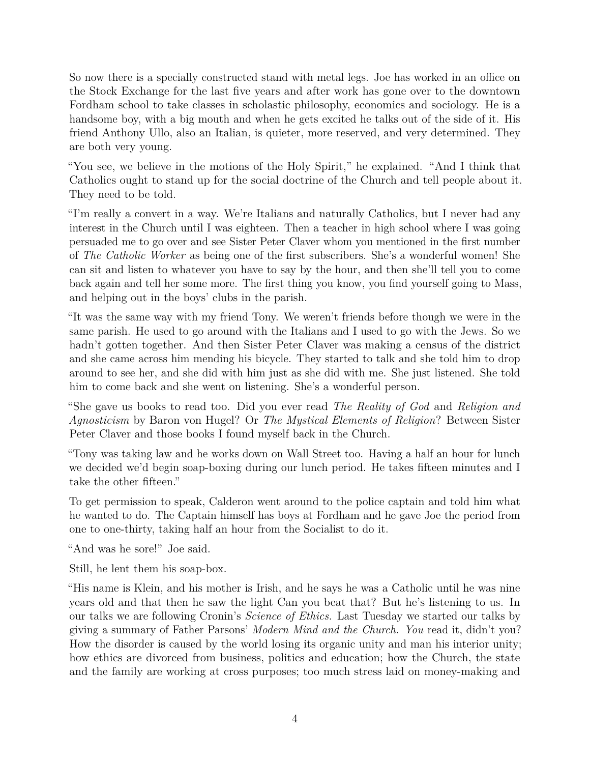So now there is a specially constructed stand with metal legs. Joe has worked in an office on the Stock Exchange for the last five years and after work has gone over to the downtown Fordham school to take classes in scholastic philosophy, economics and sociology. He is a handsome boy, with a big mouth and when he gets excited he talks out of the side of it. His friend Anthony Ullo, also an Italian, is quieter, more reserved, and very determined. They are both very young.

"You see, we believe in the motions of the Holy Spirit," he explained. "And I think that Catholics ought to stand up for the social doctrine of the Church and tell people about it. They need to be told.

"I'm really a convert in a way. We're Italians and naturally Catholics, but I never had any interest in the Church until I was eighteen. Then a teacher in high school where I was going persuaded me to go over and see Sister Peter Claver whom you mentioned in the first number of *The Catholic Worker* as being one of the first subscribers. She's a wonderful women! She can sit and listen to whatever you have to say by the hour, and then she'll tell you to come back again and tell her some more. The first thing you know, you find yourself going to Mass, and helping out in the boys' clubs in the parish.

"It was the same way with my friend Tony. We weren't friends before though we were in the same parish. He used to go around with the Italians and I used to go with the Jews. So we hadn't gotten together. And then Sister Peter Claver was making a census of the district and she came across him mending his bicycle. They started to talk and she told him to drop around to see her, and she did with him just as she did with me. She just listened. She told him to come back and she went on listening. She's a wonderful person.

"She gave us books to read too. Did you ever read *The Reality of God* and *Religion and Agnosticism* by Baron von Hugel? Or *The Mystical Elements of Religion*? Between Sister Peter Claver and those books I found myself back in the Church.

"Tony was taking law and he works down on Wall Street too. Having a half an hour for lunch we decided we'd begin soap-boxing during our lunch period. He takes fifteen minutes and I take the other fifteen."

To get permission to speak, Calderon went around to the police captain and told him what he wanted to do. The Captain himself has boys at Fordham and he gave Joe the period from one to one-thirty, taking half an hour from the Socialist to do it.

"And was he sore!" Joe said.

Still, he lent them his soap-box.

"His name is Klein, and his mother is Irish, and he says he was a Catholic until he was nine years old and that then he saw the light Can you beat that? But he's listening to us. In our talks we are following Cronin's *Science of Ethics.* Last Tuesday we started our talks by giving a summary of Father Parsons' *Modern Mind and the Church. You* read it, didn't you? How the disorder is caused by the world losing its organic unity and man his interior unity; how ethics are divorced from business, politics and education; how the Church, the state and the family are working at cross purposes; too much stress laid on money-making and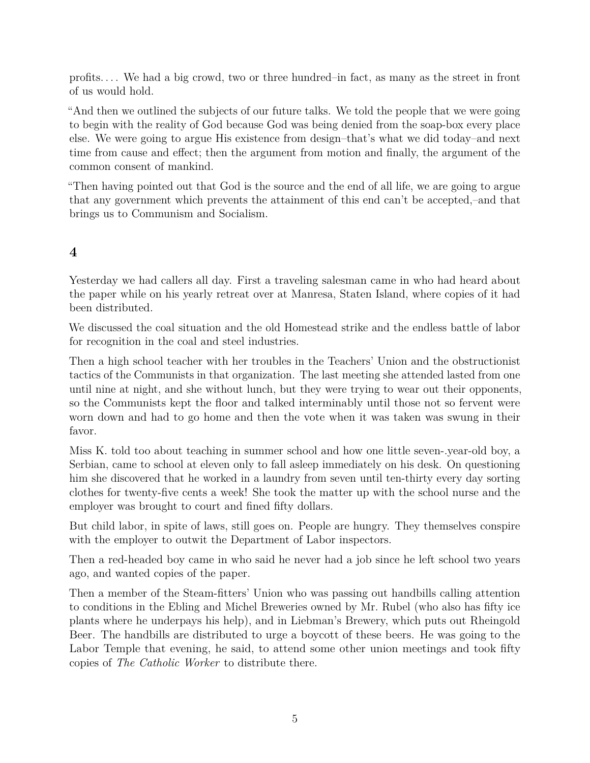profits. . . . We had a big crowd, two or three hundred–in fact, as many as the street in front of us would hold.

"And then we outlined the subjects of our future talks. We told the people that we were going to begin with the reality of God because God was being denied from the soap-box every place else. We were going to argue His existence from design–that's what we did today–and next time from cause and effect; then the argument from motion and finally, the argument of the common consent of mankind.

"Then having pointed out that God is the source and the end of all life, we are going to argue that any government which prevents the attainment of this end can't be accepted,–and that brings us to Communism and Socialism.

# **4**

Yesterday we had callers all day. First a traveling salesman came in who had heard about the paper while on his yearly retreat over at Manresa, Staten Island, where copies of it had been distributed.

We discussed the coal situation and the old Homestead strike and the endless battle of labor for recognition in the coal and steel industries.

Then a high school teacher with her troubles in the Teachers' Union and the obstructionist tactics of the Communists in that organization. The last meeting she attended lasted from one until nine at night, and she without lunch, but they were trying to wear out their opponents, so the Communists kept the floor and talked interminably until those not so fervent were worn down and had to go home and then the vote when it was taken was swung in their favor.

Miss K. told too about teaching in summer school and how one little seven-.year-old boy, a Serbian, came to school at eleven only to fall asleep immediately on his desk. On questioning him she discovered that he worked in a laundry from seven until ten-thirty every day sorting clothes for twenty-five cents a week! She took the matter up with the school nurse and the employer was brought to court and fined fifty dollars.

But child labor, in spite of laws, still goes on. People are hungry. They themselves conspire with the employer to outwit the Department of Labor inspectors.

Then a red-headed boy came in who said he never had a job since he left school two years ago, and wanted copies of the paper.

Then a member of the Steam-fitters' Union who was passing out handbills calling attention to conditions in the Ebling and Michel Breweries owned by Mr. Rubel (who also has fifty ice plants where he underpays his help), and in Liebman's Brewery, which puts out Rheingold Beer. The handbills are distributed to urge a boycott of these beers. He was going to the Labor Temple that evening, he said, to attend some other union meetings and took fifty copies of *The Catholic Worker* to distribute there.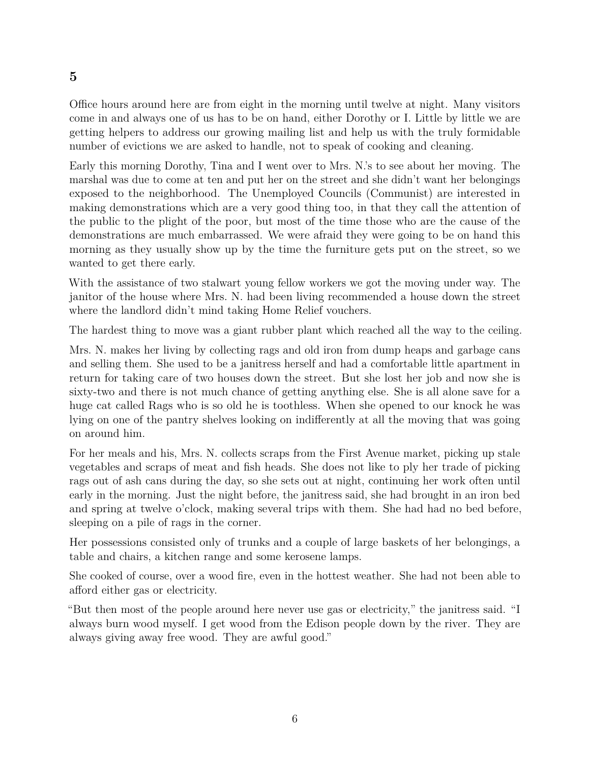Office hours around here are from eight in the morning until twelve at night. Many visitors come in and always one of us has to be on hand, either Dorothy or I. Little by little we are getting helpers to address our growing mailing list and help us with the truly formidable number of evictions we are asked to handle, not to speak of cooking and cleaning.

Early this morning Dorothy, Tina and I went over to Mrs. N.'s to see about her moving. The marshal was due to come at ten and put her on the street and she didn't want her belongings exposed to the neighborhood. The Unemployed Councils (Communist) are interested in making demonstrations which are a very good thing too, in that they call the attention of the public to the plight of the poor, but most of the time those who are the cause of the demonstrations are much embarrassed. We were afraid they were going to be on hand this morning as they usually show up by the time the furniture gets put on the street, so we wanted to get there early.

With the assistance of two stalwart young fellow workers we got the moving under way. The janitor of the house where Mrs. N. had been living recommended a house down the street where the landlord didn't mind taking Home Relief vouchers.

The hardest thing to move was a giant rubber plant which reached all the way to the ceiling.

Mrs. N. makes her living by collecting rags and old iron from dump heaps and garbage cans and selling them. She used to be a janitress herself and had a comfortable little apartment in return for taking care of two houses down the street. But she lost her job and now she is sixty-two and there is not much chance of getting anything else. She is all alone save for a huge cat called Rags who is so old he is toothless. When she opened to our knock he was lying on one of the pantry shelves looking on indifferently at all the moving that was going on around him.

For her meals and his, Mrs. N. collects scraps from the First Avenue market, picking up stale vegetables and scraps of meat and fish heads. She does not like to ply her trade of picking rags out of ash cans during the day, so she sets out at night, continuing her work often until early in the morning. Just the night before, the janitress said, she had brought in an iron bed and spring at twelve o'clock, making several trips with them. She had had no bed before, sleeping on a pile of rags in the corner.

Her possessions consisted only of trunks and a couple of large baskets of her belongings, a table and chairs, a kitchen range and some kerosene lamps.

She cooked of course, over a wood fire, even in the hottest weather. She had not been able to afford either gas or electricity.

"But then most of the people around here never use gas or electricity," the janitress said. "I always burn wood myself. I get wood from the Edison people down by the river. They are always giving away free wood. They are awful good."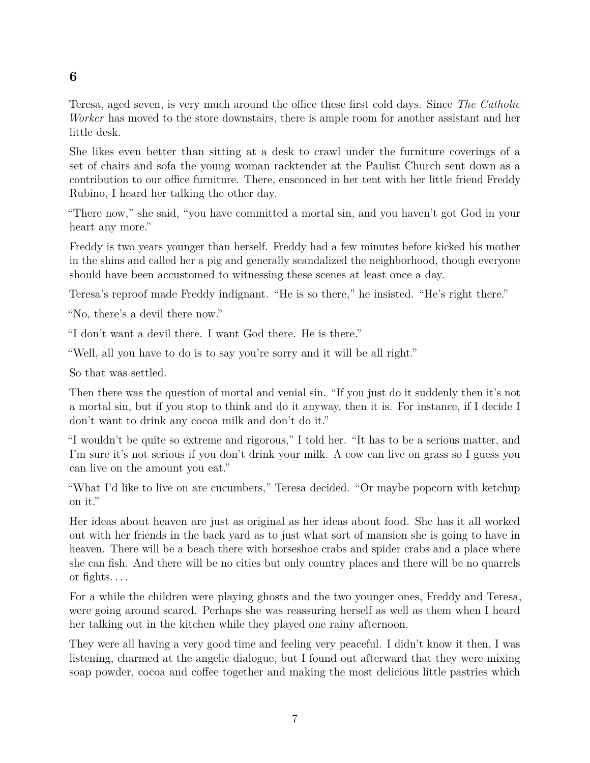#### Teresa, aged seven, is very much around the office these first cold days. Since *The Catholic Worker* has moved to the store downstairs, there is ample room for another assistant and her little desk.

She likes even better than sitting at a desk to crawl under the furniture coverings of a set of chairs and sofa the young woman racktender at the Paulist Church sent down as a contribution to our office furniture. There, ensconced in her tent with her little friend Freddy Rubino, I heard her talking the other day.

"There now," she said, "you have committed a mortal sin, and you haven't got God in your heart any more."

Freddy is two years younger than herself. Freddy had a few minutes before kicked his mother in the shins and called her a pig and generally scandalized the neighborhood, though everyone should have been accustomed to witnessing these scenes at least once a day.

Teresa's reproof made Freddy indignant. "He is so there," he insisted. "He's right there."

"No, there's a devil there now."

"I don't want a devil there. I want God there. He is there."

"Well, all you have to do is to say you're sorry and it will be all right."

So that was settled.

Then there was the question of mortal and venial sin. "If you just do it suddenly then it's not a mortal sin, but if you stop to think and do it anyway, then it is. For instance, if I decide I don't want to drink any cocoa milk and don't do it."

"I wouldn't be quite so extreme and rigorous," I told her. "It has to be a serious matter, and I'm sure it's not serious if you don't drink your milk. A cow can live on grass so I guess you can live on the amount you eat."

"What I'd like to live on are cucumbers," Teresa decided. "Or maybe popcorn with ketchup on it."

Her ideas about heaven are just as original as her ideas about food. She has it all worked out with her friends in the back yard as to just what sort of mansion she is going to have in heaven. There will be a beach there with horseshoe crabs and spider crabs and a place where she can fish. And there will be no cities but only country places and there will be no quarrels or fights. . . .

For a while the children were playing ghosts and the two younger ones, Freddy and Teresa, were going around scared. Perhaps she was reassuring herself as well as them when I heard her talking out in the kitchen while they played one rainy afternoon.

They were all having a very good time and feeling very peaceful. I didn't know it then, I was listening, charmed at the angelic dialogue, but I found out afterward that they were mixing soap powder, cocoa and coffee together and making the most delicious little pastries which

## **6**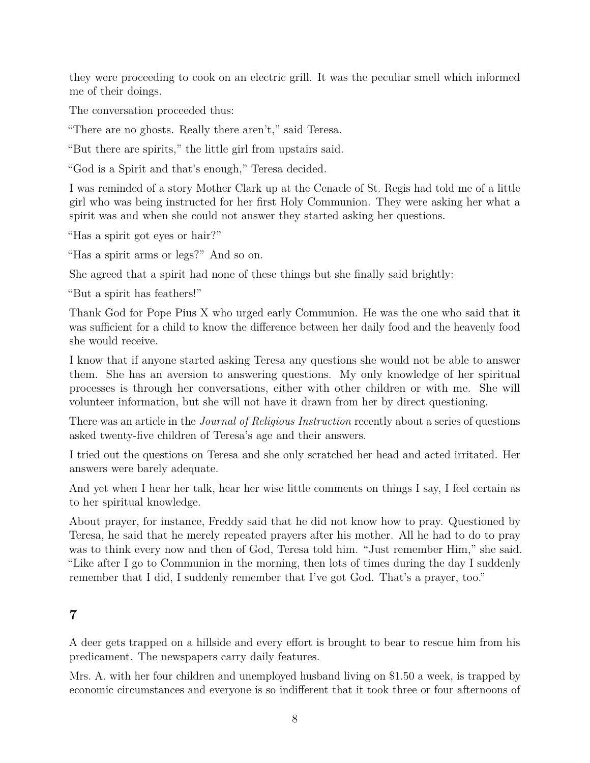they were proceeding to cook on an electric grill. It was the peculiar smell which informed me of their doings.

The conversation proceeded thus:

"There are no ghosts. Really there aren't," said Teresa.

"But there are spirits," the little girl from upstairs said.

"God is a Spirit and that's enough," Teresa decided.

I was reminded of a story Mother Clark up at the Cenacle of St. Regis had told me of a little girl who was being instructed for her first Holy Communion. They were asking her what a spirit was and when she could not answer they started asking her questions.

"Has a spirit got eyes or hair?"

"Has a spirit arms or legs?" And so on.

She agreed that a spirit had none of these things but she finally said brightly:

"But a spirit has feathers!"

Thank God for Pope Pius X who urged early Communion. He was the one who said that it was sufficient for a child to know the difference between her daily food and the heavenly food she would receive.

I know that if anyone started asking Teresa any questions she would not be able to answer them. She has an aversion to answering questions. My only knowledge of her spiritual processes is through her conversations, either with other children or with me. She will volunteer information, but she will not have it drawn from her by direct questioning.

There was an article in the *Journal of Religious Instruction* recently about a series of questions asked twenty-five children of Teresa's age and their answers.

I tried out the questions on Teresa and she only scratched her head and acted irritated. Her answers were barely adequate.

And yet when I hear her talk, hear her wise little comments on things I say, I feel certain as to her spiritual knowledge.

About prayer, for instance, Freddy said that he did not know how to pray. Questioned by Teresa, he said that he merely repeated prayers after his mother. All he had to do to pray was to think every now and then of God, Teresa told him. "Just remember Him," she said. "Like after I go to Communion in the morning, then lots of times during the day I suddenly remember that I did, I suddenly remember that I've got God. That's a prayer, too."

## **7**

A deer gets trapped on a hillside and every effort is brought to bear to rescue him from his predicament. The newspapers carry daily features.

Mrs. A. with her four children and unemployed husband living on \$1.50 a week, is trapped by economic circumstances and everyone is so indifferent that it took three or four afternoons of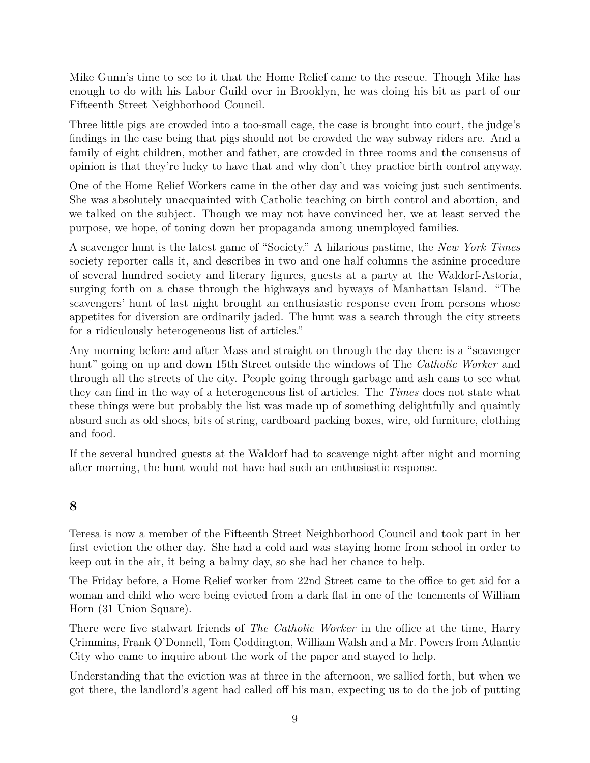Mike Gunn's time to see to it that the Home Relief came to the rescue. Though Mike has enough to do with his Labor Guild over in Brooklyn, he was doing his bit as part of our Fifteenth Street Neighborhood Council.

Three little pigs are crowded into a too-small cage, the case is brought into court, the judge's findings in the case being that pigs should not be crowded the way subway riders are. And a family of eight children, mother and father, are crowded in three rooms and the consensus of opinion is that they're lucky to have that and why don't they practice birth control anyway.

One of the Home Relief Workers came in the other day and was voicing just such sentiments. She was absolutely unacquainted with Catholic teaching on birth control and abortion, and we talked on the subject. Though we may not have convinced her, we at least served the purpose, we hope, of toning down her propaganda among unemployed families.

A scavenger hunt is the latest game of "Society." A hilarious pastime, the *New York Times* society reporter calls it, and describes in two and one half columns the asinine procedure of several hundred society and literary figures, guests at a party at the Waldorf-Astoria, surging forth on a chase through the highways and byways of Manhattan Island. "The scavengers' hunt of last night brought an enthusiastic response even from persons whose appetites for diversion are ordinarily jaded. The hunt was a search through the city streets for a ridiculously heterogeneous list of articles."

Any morning before and after Mass and straight on through the day there is a "scavenger hunt" going on up and down 15th Street outside the windows of The *Catholic Worker* and through all the streets of the city. People going through garbage and ash cans to see what they can find in the way of a heterogeneous list of articles. The *Times* does not state what these things were but probably the list was made up of something delightfully and quaintly absurd such as old shoes, bits of string, cardboard packing boxes, wire, old furniture, clothing and food.

If the several hundred guests at the Waldorf had to scavenge night after night and morning after morning, the hunt would not have had such an enthusiastic response.

# **8**

Teresa is now a member of the Fifteenth Street Neighborhood Council and took part in her first eviction the other day. She had a cold and was staying home from school in order to keep out in the air, it being a balmy day, so she had her chance to help.

The Friday before, a Home Relief worker from 22nd Street came to the office to get aid for a woman and child who were being evicted from a dark flat in one of the tenements of William Horn (31 Union Square).

There were five stalwart friends of *The Catholic Worker* in the office at the time, Harry Crimmins, Frank O'Donnell, Tom Coddington, William Walsh and a Mr. Powers from Atlantic City who came to inquire about the work of the paper and stayed to help.

Understanding that the eviction was at three in the afternoon, we sallied forth, but when we got there, the landlord's agent had called off his man, expecting us to do the job of putting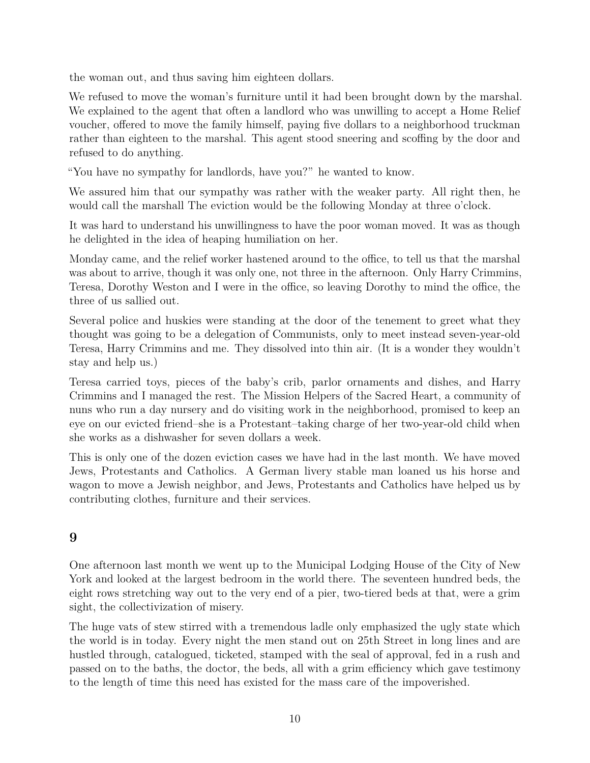the woman out, and thus saving him eighteen dollars.

We refused to move the woman's furniture until it had been brought down by the marshal. We explained to the agent that often a landlord who was unwilling to accept a Home Relief voucher, offered to move the family himself, paying five dollars to a neighborhood truckman rather than eighteen to the marshal. This agent stood sneering and scoffing by the door and refused to do anything.

"You have no sympathy for landlords, have you?" he wanted to know.

We assured him that our sympathy was rather with the weaker party. All right then, he would call the marshall The eviction would be the following Monday at three o'clock.

It was hard to understand his unwillingness to have the poor woman moved. It was as though he delighted in the idea of heaping humiliation on her.

Monday came, and the relief worker hastened around to the office, to tell us that the marshal was about to arrive, though it was only one, not three in the afternoon. Only Harry Crimmins, Teresa, Dorothy Weston and I were in the office, so leaving Dorothy to mind the office, the three of us sallied out.

Several police and huskies were standing at the door of the tenement to greet what they thought was going to be a delegation of Communists, only to meet instead seven-year-old Teresa, Harry Crimmins and me. They dissolved into thin air. (It is a wonder they wouldn't stay and help us.)

Teresa carried toys, pieces of the baby's crib, parlor ornaments and dishes, and Harry Crimmins and I managed the rest. The Mission Helpers of the Sacred Heart, a community of nuns who run a day nursery and do visiting work in the neighborhood, promised to keep an eye on our evicted friend–she is a Protestant–taking charge of her two-year-old child when she works as a dishwasher for seven dollars a week.

This is only one of the dozen eviction cases we have had in the last month. We have moved Jews, Protestants and Catholics. A German livery stable man loaned us his horse and wagon to move a Jewish neighbor, and Jews, Protestants and Catholics have helped us by contributing clothes, furniture and their services.

# **9**

One afternoon last month we went up to the Municipal Lodging House of the City of New York and looked at the largest bedroom in the world there. The seventeen hundred beds, the eight rows stretching way out to the very end of a pier, two-tiered beds at that, were a grim sight, the collectivization of misery.

The huge vats of stew stirred with a tremendous ladle only emphasized the ugly state which the world is in today. Every night the men stand out on 25th Street in long lines and are hustled through, catalogued, ticketed, stamped with the seal of approval, fed in a rush and passed on to the baths, the doctor, the beds, all with a grim efficiency which gave testimony to the length of time this need has existed for the mass care of the impoverished.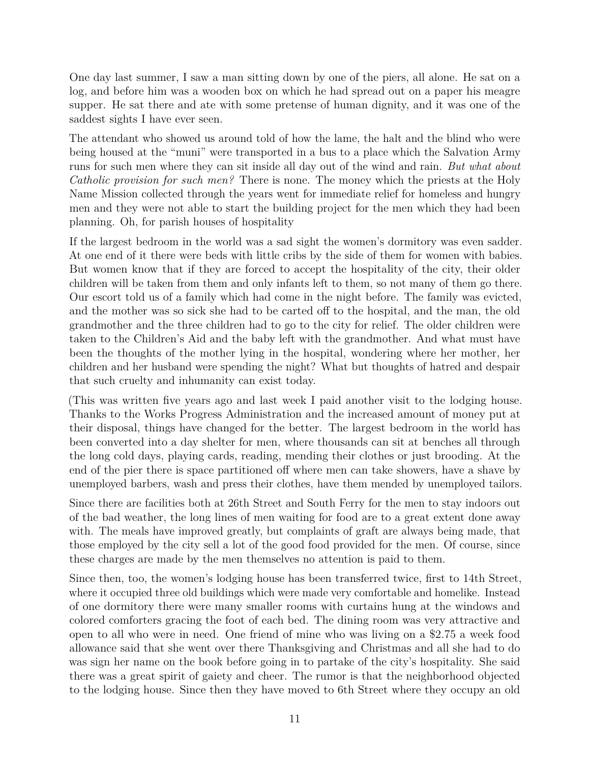One day last summer, I saw a man sitting down by one of the piers, all alone. He sat on a log, and before him was a wooden box on which he had spread out on a paper his meagre supper. He sat there and ate with some pretense of human dignity, and it was one of the saddest sights I have ever seen.

The attendant who showed us around told of how the lame, the halt and the blind who were being housed at the "muni" were transported in a bus to a place which the Salvation Army runs for such men where they can sit inside all day out of the wind and rain. *But what about Catholic provision for such men?* There is none. The money which the priests at the Holy Name Mission collected through the years went for immediate relief for homeless and hungry men and they were not able to start the building project for the men which they had been planning. Oh, for parish houses of hospitality

If the largest bedroom in the world was a sad sight the women's dormitory was even sadder. At one end of it there were beds with little cribs by the side of them for women with babies. But women know that if they are forced to accept the hospitality of the city, their older children will be taken from them and only infants left to them, so not many of them go there. Our escort told us of a family which had come in the night before. The family was evicted, and the mother was so sick she had to be carted off to the hospital, and the man, the old grandmother and the three children had to go to the city for relief. The older children were taken to the Children's Aid and the baby left with the grandmother. And what must have been the thoughts of the mother lying in the hospital, wondering where her mother, her children and her husband were spending the night? What but thoughts of hatred and despair that such cruelty and inhumanity can exist today.

(This was written five years ago and last week I paid another visit to the lodging house. Thanks to the Works Progress Administration and the increased amount of money put at their disposal, things have changed for the better. The largest bedroom in the world has been converted into a day shelter for men, where thousands can sit at benches all through the long cold days, playing cards, reading, mending their clothes or just brooding. At the end of the pier there is space partitioned off where men can take showers, have a shave by unemployed barbers, wash and press their clothes, have them mended by unemployed tailors.

Since there are facilities both at 26th Street and South Ferry for the men to stay indoors out of the bad weather, the long lines of men waiting for food are to a great extent done away with. The meals have improved greatly, but complaints of graft are always being made, that those employed by the city sell a lot of the good food provided for the men. Of course, since these charges are made by the men themselves no attention is paid to them.

Since then, too, the women's lodging house has been transferred twice, first to 14th Street, where it occupied three old buildings which were made very comfortable and homelike. Instead of one dormitory there were many smaller rooms with curtains hung at the windows and colored comforters gracing the foot of each bed. The dining room was very attractive and open to all who were in need. One friend of mine who was living on a \$2.75 a week food allowance said that she went over there Thanksgiving and Christmas and all she had to do was sign her name on the book before going in to partake of the city's hospitality. She said there was a great spirit of gaiety and cheer. The rumor is that the neighborhood objected to the lodging house. Since then they have moved to 6th Street where they occupy an old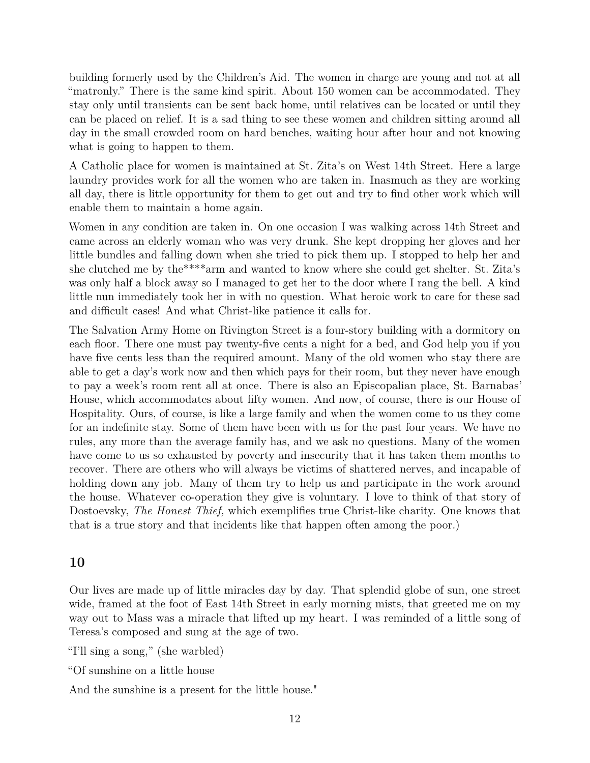building formerly used by the Children's Aid. The women in charge are young and not at all "matronly." There is the same kind spirit. About 150 women can be accommodated. They stay only until transients can be sent back home, until relatives can be located or until they can be placed on relief. It is a sad thing to see these women and children sitting around all day in the small crowded room on hard benches, waiting hour after hour and not knowing what is going to happen to them.

A Catholic place for women is maintained at St. Zita's on West 14th Street. Here a large laundry provides work for all the women who are taken in. Inasmuch as they are working all day, there is little opportunity for them to get out and try to find other work which will enable them to maintain a home again.

Women in any condition are taken in. On one occasion I was walking across 14th Street and came across an elderly woman who was very drunk. She kept dropping her gloves and her little bundles and falling down when she tried to pick them up. I stopped to help her and she clutched me by the\*\*\*\*arm and wanted to know where she could get shelter. St. Zita's was only half a block away so I managed to get her to the door where I rang the bell. A kind little nun immediately took her in with no question. What heroic work to care for these sad and difficult cases! And what Christ-like patience it calls for.

The Salvation Army Home on Rivington Street is a four-story building with a dormitory on each floor. There one must pay twenty-five cents a night for a bed, and God help you if you have five cents less than the required amount. Many of the old women who stay there are able to get a day's work now and then which pays for their room, but they never have enough to pay a week's room rent all at once. There is also an Episcopalian place, St. Barnabas' House, which accommodates about fifty women. And now, of course, there is our House of Hospitality. Ours, of course, is like a large family and when the women come to us they come for an indefinite stay. Some of them have been with us for the past four years. We have no rules, any more than the average family has, and we ask no questions. Many of the women have come to us so exhausted by poverty and insecurity that it has taken them months to recover. There are others who will always be victims of shattered nerves, and incapable of holding down any job. Many of them try to help us and participate in the work around the house. Whatever co-operation they give is voluntary. I love to think of that story of Dostoevsky, *The Honest Thief,* which exemplifies true Christ-like charity. One knows that that is a true story and that incidents like that happen often among the poor.)

# **10**

Our lives are made up of little miracles day by day. That splendid globe of sun, one street wide, framed at the foot of East 14th Street in early morning mists, that greeted me on my way out to Mass was a miracle that lifted up my heart. I was reminded of a little song of Teresa's composed and sung at the age of two.

"I'll sing a song," (she warbled)

"Of sunshine on a little house

And the sunshine is a present for the little house."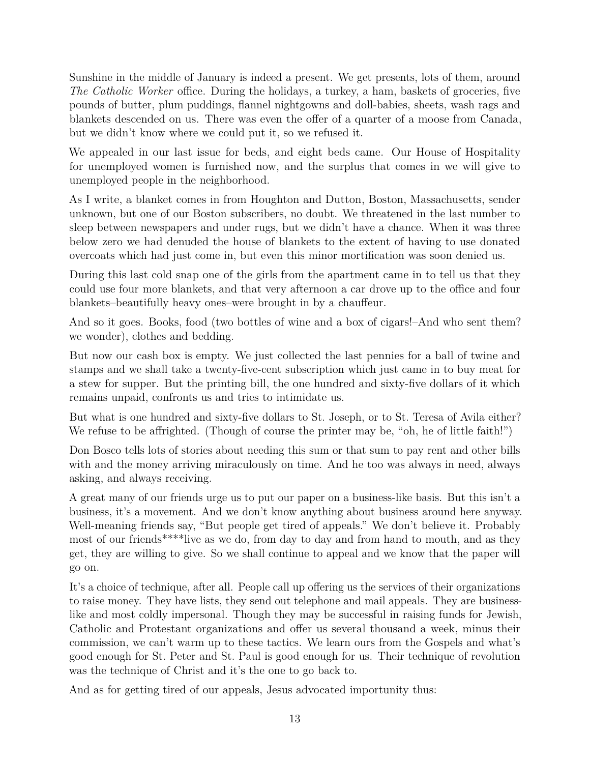Sunshine in the middle of January is indeed a present. We get presents, lots of them, around *The Catholic Worker* office. During the holidays, a turkey, a ham, baskets of groceries, five pounds of butter, plum puddings, flannel nightgowns and doll-babies, sheets, wash rags and blankets descended on us. There was even the offer of a quarter of a moose from Canada, but we didn't know where we could put it, so we refused it.

We appealed in our last issue for beds, and eight beds came. Our House of Hospitality for unemployed women is furnished now, and the surplus that comes in we will give to unemployed people in the neighborhood.

As I write, a blanket comes in from Houghton and Dutton, Boston, Massachusetts, sender unknown, but one of our Boston subscribers, no doubt. We threatened in the last number to sleep between newspapers and under rugs, but we didn't have a chance. When it was three below zero we had denuded the house of blankets to the extent of having to use donated overcoats which had just come in, but even this minor mortification was soon denied us.

During this last cold snap one of the girls from the apartment came in to tell us that they could use four more blankets, and that very afternoon a car drove up to the office and four blankets–beautifully heavy ones–were brought in by a chauffeur.

And so it goes. Books, food (two bottles of wine and a box of cigars!–And who sent them? we wonder), clothes and bedding.

But now our cash box is empty. We just collected the last pennies for a ball of twine and stamps and we shall take a twenty-five-cent subscription which just came in to buy meat for a stew for supper. But the printing bill, the one hundred and sixty-five dollars of it which remains unpaid, confronts us and tries to intimidate us.

But what is one hundred and sixty-five dollars to St. Joseph, or to St. Teresa of Avila either? We refuse to be affrighted. (Though of course the printer may be, "oh, he of little faith!")

Don Bosco tells lots of stories about needing this sum or that sum to pay rent and other bills with and the money arriving miraculously on time. And he too was always in need, always asking, and always receiving.

A great many of our friends urge us to put our paper on a business-like basis. But this isn't a business, it's a movement. And we don't know anything about business around here anyway. Well-meaning friends say, "But people get tired of appeals." We don't believe it. Probably most of our friends\*\*\*\*live as we do, from day to day and from hand to mouth, and as they get, they are willing to give. So we shall continue to appeal and we know that the paper will go on.

It's a choice of technique, after all. People call up offering us the services of their organizations to raise money. They have lists, they send out telephone and mail appeals. They are businesslike and most coldly impersonal. Though they may be successful in raising funds for Jewish, Catholic and Protestant organizations and offer us several thousand a week, minus their commission, we can't warm up to these tactics. We learn ours from the Gospels and what's good enough for St. Peter and St. Paul is good enough for us. Their technique of revolution was the technique of Christ and it's the one to go back to.

And as for getting tired of our appeals, Jesus advocated importunity thus: